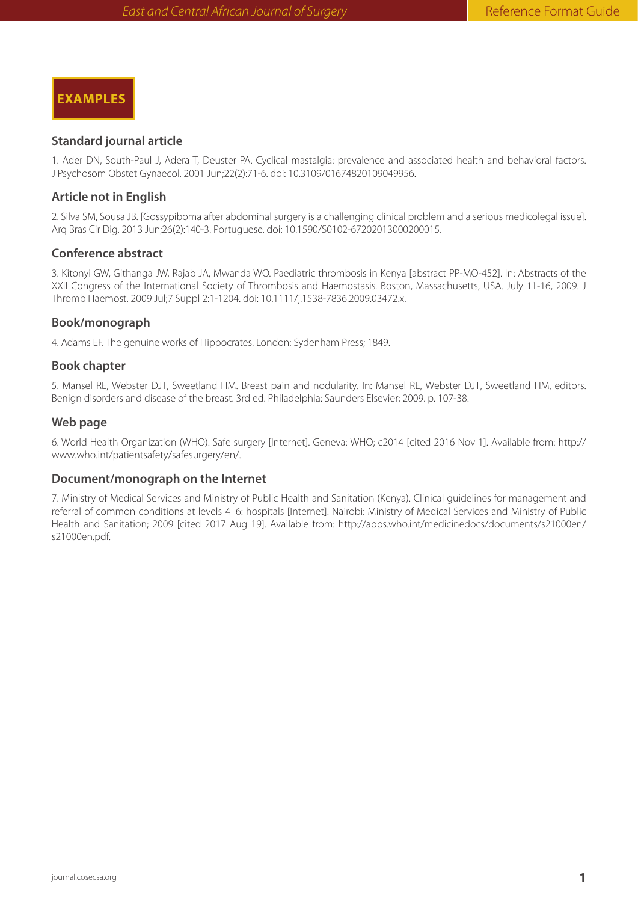**EXAMPLES**

### **Standard journal article**

1. Ader DN, South-Paul J, Adera T, Deuster PA. Cyclical mastalgia: prevalence and associated health and behavioral factors. J Psychosom Obstet Gynaecol. 2001 Jun;22(2):71-6. doi: 10.3109/01674820109049956.

# **Article not in English**

2. Silva SM, Sousa JB. [Gossypiboma after abdominal surgery is a challenging clinical problem and a serious medicolegal issue]. Arq Bras Cir Dig. 2013 Jun;26(2):140-3. Portuguese. doi: 10.1590/S0102-67202013000200015.

## **Conference abstract**

3. Kitonyi GW, Githanga JW, Rajab JA, Mwanda WO. Paediatric thrombosis in Kenya [abstract PP-MO-452]. In: Abstracts of the XXII Congress of the International Society of Thrombosis and Haemostasis. Boston, Massachusetts, USA. July 11-16, 2009. J Thromb Haemost. 2009 Jul;7 Suppl 2:1-1204. doi: 10.1111/j.1538-7836.2009.03472.x.

# **Book/monograph**

4. Adams EF. The genuine works of Hippocrates. London: Sydenham Press; 1849.

## **Book chapter**

5. Mansel RE, Webster DJT, Sweetland HM. Breast pain and nodularity. In: Mansel RE, Webster DJT, Sweetland HM, editors. Benign disorders and disease of the breast. 3rd ed. Philadelphia: Saunders Elsevier; 2009. p. 107-38.

#### **Web page**

6. World Health Organization (WHO). Safe surgery [Internet]. Geneva: WHO; c2014 [cited 2016 Nov 1]. Available from: http:// www.who.int/patientsafety/safesurgery/en/.

#### **Document/monograph on the Internet**

7. Ministry of Medical Services and Ministry of Public Health and Sanitation (Kenya). Clinical guidelines for management and referral of common conditions at levels 4–6: hospitals [Internet]. Nairobi: Ministry of Medical Services and Ministry of Public Health and Sanitation; 2009 [cited 2017 Aug 19]. Available from: http://apps.who.int/medicinedocs/documents/s21000en/ s21000en.pdf.